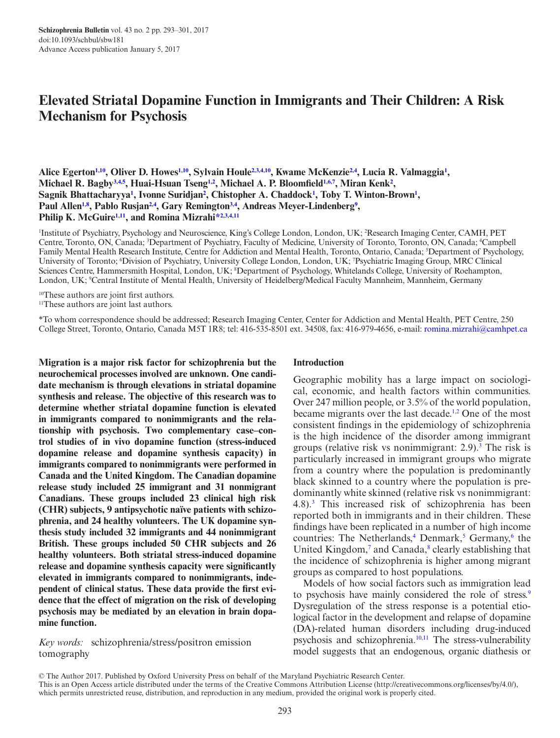# **Elevated Striatal Dopamine Function in Immigrants and Their Children: A Risk Mechanism for Psychosis**

Alice Egerton<sup>[1](#page-0-0),10</sup>, Oliver D. Howes<sup>1,10</sup>, Sylvain Houle<sup>[2](#page-0-2)[,3,](#page-0-3)[4](#page-0-4),[10](#page-0-1)</sup>, Kwame McKenzie<sup>[2,](#page-0-2)4</sup>, Lucia R. Valmaggia<sup>1</sup>, **Michael R. Bagb[y3](#page-0-3)[,4](#page-0-4),[5](#page-0-5) , Huai-Hsuan Tsen[g1,](#page-0-0)[2](#page-0-2) , Michael A. P. Bloomfield[1,](#page-0-0)[6](#page-0-6)[,7](#page-0-7) , Miran Kenk[2](#page-0-2) ,**  Sagnik Bhattacharyya<sup>[1](#page-0-0)</sup>, Ivonne Suridjan<sup>2</sup>, Chistopher A. Chaddock<sup>1</sup>, Toby T. Winton-Brown<sup>1</sup>, Paul Allen<sup>[1,](#page-0-0)[8](#page-0-8)</sup>, Pablo Rusjan<sup>2,[4](#page-0-4)</sup>, Gary Remington<sup>[3](#page-0-3)[,4](#page-0-4)</sup>, Andreas Meyer-Lindenberg<sup>9</sup>, **Philip K. McGuir[e1](#page-0-0)[,11](#page-0-10), and Romina Mizrah[i\\*](#page-0-11)[2](#page-0-2)[,3](#page-0-3)[,4](#page-0-4),[11](#page-0-10)**

<span id="page-0-6"></span><span id="page-0-5"></span><span id="page-0-3"></span><span id="page-0-2"></span><span id="page-0-0"></span>1 Institute of Psychiatry, Psychology and Neuroscience, King's College London, London, UK; 2 Research Imaging Center, CAMH, PET Centre, Toronto, ON, Canada; <sup>3</sup>Department of Psychiatry, Faculty of Medicine, University of Toronto, Toronto, ON, Canada; <sup>4</sup>Campbell Family Mental Health Research Institute, Centre for Addiction and Mental Health, Toronto, Ontario, Canada; <sup>5</sup>Department of Psychology, University of Toronto; <sup>6</sup>Division of Psychiatry, University College London, London, UK; <sup>7</sup>Psychiatric Imaging Group, MRC Clinical Sciences Centre, Hammersmith Hospital, London, UK; <sup>8</sup>Department of Psychology, Whitelands College, University of Roehampton, London, UK; <sup>9</sup>Central Institute of Mental Health, University of Heidelberg/Medical Faculty Mannheim, Mannheim, Germany

<span id="page-0-9"></span><span id="page-0-8"></span><span id="page-0-1"></span><sup>10</sup>These authors are joint first authors.

<span id="page-0-10"></span>11These authors are joint last authors.

<span id="page-0-11"></span>\*To whom correspondence should be addressed; Research Imaging Center, Center for Addiction and Mental Health, PET Centre, 250 College Street, Toronto, Ontario, Canada M5T 1R8; tel: 416-535-8501 ext. 34508, fax: 416-979-4656, e-mail: [romina.mizrahi@camhpet.ca](mailto:romina.mizrahi@camhpet.ca?subject=)

**Migration is a major risk factor for schizophrenia but the neurochemical processes involved are unknown. One candidate mechanism is through elevations in striatal dopamine synthesis and release. The objective of this research was to determine whether striatal dopamine function is elevated in immigrants compared to nonimmigrants and the relationship with psychosis. Two complementary case–control studies of in vivo dopamine function (stress-induced dopamine release and dopamine synthesis capacity) in immigrants compared to nonimmigrants were performed in Canada and the United Kingdom. The Canadian dopamine release study included 25 immigrant and 31 nonmigrant Canadians. These groups included 23 clinical high risk (CHR) subjects, 9 antipsychotic naïve patients with schizophrenia, and 24 healthy volunteers. The UK dopamine synthesis study included 32 immigrants and 44 nonimmigrant British. These groups included 50 CHR subjects and 26 healthy volunteers. Both striatal stress-induced dopamine release and dopamine synthesis capacity were significantly elevated in immigrants compared to nonimmigrants, independent of clinical status. These data provide the first evidence that the effect of migration on the risk of developing psychosis may be mediated by an elevation in brain dopamine function.**

*Key words:* schizophrenia/stress/positron emission tomography

#### <span id="page-0-7"></span><span id="page-0-4"></span>**Introduction**

Geographic mobility has a large impact on sociological, economic, and health factors within communities. Over 247 million people, or 3.5% of the world population, became migrants over the last decade.<sup>1[,2](#page-7-1)</sup> One of the most consistent findings in the epidemiology of schizophrenia is the high incidence of the disorder among immigrant groups (relative risk vs nonimmigrant:  $2.9$ ).<sup>[3](#page-7-2)</sup> The risk is particularly increased in immigrant groups who migrate from a country where the population is predominantly black skinned to a country where the population is predominantly white skinned (relative risk vs nonimmigrant: 4.8).[3](#page-7-2) This increased risk of schizophrenia has been reported both in immigrants and in their children. These findings have been replicated in a number of high income countries: The Netherlands,<sup>[4](#page-7-3)</sup> Denmark,<sup>[5](#page-7-4)</sup> Germany,<sup>[6](#page-7-5)</sup> the United Kingdom,<sup>7</sup> and Canada,<sup>8</sup> clearly establishing that the incidence of schizophrenia is higher among migrant groups as compared to host populations.

Models of how social factors such as immigration lead to psychosis have mainly considered the role of stress.<sup>9</sup> Dysregulation of the stress response is a potential etiological factor in the development and relapse of dopamine (DA)-related human disorders including drug-induced psychosis and schizophrenia.<sup>10,11</sup> The stress-vulnerability model suggests that an endogenous, organic diathesis or

<sup>©</sup> The Author 2017. Published by Oxford University Press on behalf of the Maryland Psychiatric Research Center.

This is an Open Access article distributed under the terms of the Creative Commons Attribution License (http://creativecommons.org/licenses/by/4.0/), which permits unrestricted reuse, distribution, and reproduction in any medium, provided the original work is properly cited.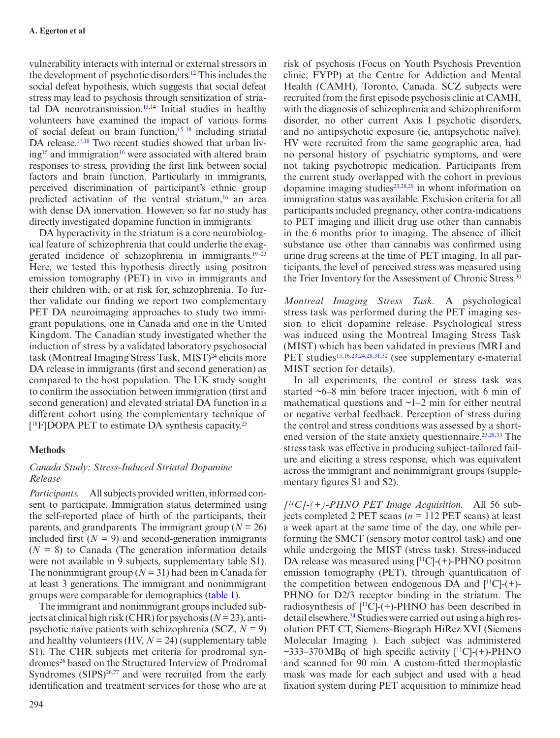vulnerability interacts with internal or external stressors in the development of psychotic disorders[.12](#page-7-11) This includes the social defeat hypothesis, which suggests that social defeat stress may lead to psychosis through sensitization of striatal DA neurotransmission.[13](#page-7-12)[,14](#page-7-13) Initial studies in healthy volunteers have examined the impact of various forms of social defeat on brain function,<sup>15-18</sup> including striatal DA release.<sup>17,18</sup> Two recent studies showed that urban liv $ing<sup>15</sup>$  and immigration<sup>16</sup> were associated with altered brain responses to stress, providing the first link between social factors and brain function. Particularly in immigrants, perceived discrimination of participant's ethnic group predicted activation of the ventral striatum, $16$  an area with dense DA innervation. However, so far no study has directly investigated dopamine function in immigrants.

DA hyperactivity in the striatum is a core neurobiological feature of schizophrenia that could underlie the exaggerated incidence of schizophrenia in immigrants.[19–23](#page-7-18) Here, we tested this hypothesis directly using positron emission tomography (PET) in vivo in immigrants and their children with, or at risk for, schizophrenia. To further validate our finding we report two complementary PET DA neuroimaging approaches to study two immigrant populations, one in Canada and one in the United Kingdom. The Canadian study investigated whether the induction of stress by a validated laboratory psychosocial task (Montreal Imaging Stress Task, MIST) $^{24}$  $^{24}$  $^{24}$  elicits more DA release in immigrants (first and second generation) as compared to the host population. The UK study sought to confirm the association between immigration (first and second generation) and elevated striatal DA function in a different cohort using the complementary technique of  $[$ <sup>18</sup>F]DOPA PET to estimate DA synthesis capacity.<sup>25</sup>

# **Methods**

# *Canada Study: Stress-Induced Striatal Dopamine Release*

*Participants.* All subjects provided written, informed consent to participate. Immigration status determined using the self-reported place of birth of the participants, their parents, and grandparents. The immigrant group ( $N = 26$ ) included first  $(N = 9)$  and second-generation immigrants  $(N = 8)$  to Canada (The generation information details were not available in 9 subjects, supplementary table S1). The nonimmigrant group  $(N = 31)$  had been in Canada for at least 3 generations. The immigrant and nonimmigrant groups were comparable for demographics ([table 1](#page-2-0)).

The immigrant and nonimmigrant groups included subjects at clinical high risk (CHR) for psychosis (*N* = 23), antipsychotic naïve patients with schizophrenia (SCZ, *N* = 9) and healthy volunteers (HV, *N* = 24) (supplementary table S1). The CHR subjects met criteria for prodromal syndromes<sup>26</sup> based on the Structured Interview of Prodromal Syndromes  $(SIPS)^{26,27}$  $(SIPS)^{26,27}$  $(SIPS)^{26,27}$  and were recruited from the early identification and treatment services for those who are at

clinic, FYPP) at the Centre for Addiction and Mental Health (CAMH), Toronto, Canada. SCZ subjects were recruited from the first episode psychosis clinic at CAMH, with the diagnosis of schizophrenia and schizophreniform disorder, no other current Axis I psychotic disorders, and no antipsychotic exposure (ie, antipsychotic naïve). HV were recruited from the same geographic area, had no personal history of psychiatric symptoms, and were not taking psychotropic medication. Participants from the current study overlapped with the cohort in previous dopamine imaging studies $23,28,29$  $23,28,29$  $23,28,29$  in whom information on immigration status was available. Exclusion criteria for all participants included pregnancy, other contra-indications to PET imaging and illicit drug use other than cannabis in the 6 months prior to imaging. The absence of illicit substance use other than cannabis was confirmed using urine drug screens at the time of PET imaging. In all participants, the level of perceived stress was measured using the Trier Inventory for the Assessment of Chronic Stress.<sup>[30](#page-7-26)</sup>

risk of psychosis (Focus on Youth Psychosis Prevention

*Montreal Imaging Stress Task.* A psychological stress task was performed during the PET imaging session to elicit dopamine release. Psychological stress was induced using the Montreal Imaging Stress Task (MIST) which has been validated in previous fMRI and PET studies<sup>[15](#page-7-14),[16](#page-7-17),[23](#page-7-23),[24](#page-7-19),[28](#page-7-24),[31](#page-8-0),[32](#page-8-1)</sup> (see supplementary e-material MIST section for details).

In all experiments, the control or stress task was started ~6–8 min before tracer injection, with 6 min of mathematical questions and  $\sim$ 1–2 min for either neutral or negative verbal feedback. Perception of stress during the control and stress conditions was assessed by a short-ened version of the state anxiety questionnaire.<sup>[23](#page-7-23),[28](#page-7-24),33</sup> The stress task was effective in producing subject-tailored failure and eliciting a stress response, which was equivalent across the immigrant and nonimmigrant groups (supplementary figures S1 and S2).

*[11C]-(+)-PHNO PET Image Acquisition.* All 56 subjects completed 2 PET scans (*n* = 112 PET scans) at least a week apart at the same time of the day, one while performing the SMCT (sensory motor control task) and one while undergoing the MIST (stress task). Stress-induced DA release was measured using  $[{}^{11}C]$ -(+)-PHNO positron emission tomography (PET), through quantification of the competition between endogenous DA and  $[{}^{11}C]$ -(+)-PHNO for D2/3 receptor binding in the striatum. The radiosynthesis of  $[{}^{11}C]$ -(+)-PHNO has been described in detail elsewhere.<sup>34</sup> Studies were carried out using a high resolution PET CT, Siemens-Biograph HiRez XVI (Siemens Molecular Imaging ). Each subject was administered  $\sim$ 333–370 MBq of high specific activity  $[{}^{11}C]$ -(+)-PHNO and scanned for 90 min. A custom-fitted thermoplastic mask was made for each subject and used with a head fixation system during PET acquisition to minimize head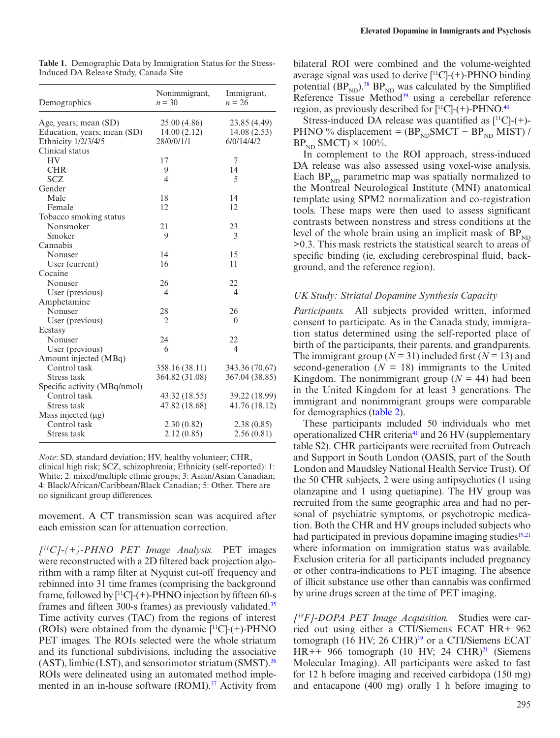| Demographics                 | Nonimmigrant,<br>$n = 30$ | Immigrant,<br>$n = 26$ |
|------------------------------|---------------------------|------------------------|
| Age, years; mean (SD)        | 25.00 (4.86)              | 23.85 (4.49)           |
| Education, years; mean (SD)  | 14.00(2.12)               | 14.08(2.53)            |
| Ethnicity 1/2/3/4/5          | 28/0/0/1/1                | 6/0/14/4/2             |
| Clinical status              |                           |                        |
| HV                           | 17                        | 7                      |
| <b>CHR</b>                   | 9                         | 14                     |
| <b>SCZ</b>                   | $\overline{4}$            | 5                      |
| Gender                       |                           |                        |
| Male                         | 18                        | 14                     |
| Female                       | 12                        | 12                     |
| Tobacco smoking status       |                           |                        |
| Nonsmoker                    | 21                        | 23                     |
| Smoker                       | 9                         | 3                      |
| Cannabis                     |                           |                        |
| Nonuser                      | 14                        | 15                     |
| User (current)               | 16                        | 11                     |
| Cocaine                      |                           |                        |
| Nonuser                      | 26                        | 22                     |
| User (previous)              | $\overline{4}$            | $\overline{4}$         |
| Amphetamine                  |                           |                        |
| Nonuser                      | 28                        | 26                     |
| User (previous)              | $\overline{2}$            | $\theta$               |
| Ecstasy                      |                           |                        |
| Nonuser                      | 24                        | 22                     |
| User (previous)              | 6                         | $\overline{4}$         |
| Amount injected (MBq)        |                           |                        |
| Control task                 | 358.16 (38.11)            | 343.36 (70.67)         |
| Stress task                  | 364.82 (31.08)            | 367.04 (38.85)         |
| Specific activity (MBq/nmol) |                           |                        |
| Control task                 | 43.32 (18.55)             | 39.22 (18.99)          |
| Stress task                  | 47.82 (18.68)             | 41.76 (18.12)          |
| Mass injected $(\mu g)$      |                           |                        |
| Control task                 | 2.30(0.82)                | 2.38(0.85)             |
| Stress task                  | 2.12(0.85)                | 2.56(0.81)             |
|                              |                           |                        |

<span id="page-2-0"></span>**Table 1.** Demographic Data by Immigration Status for the Stress-Induced DA Release Study, Canada Site

*Note*: SD, standard deviation; HV, healthy volunteer; CHR, clinical high risk; SCZ, schizophrenia; Ethnicity (self-reported): 1: White; 2: mixed/multiple ethnic groups; 3: Asian/Asian Canadian; 4: Black/African/Caribbean/Black Canadian; 5: Other. There are no significant group differences.

movement. A CT transmission scan was acquired after each emission scan for attenuation correction.

*[11C]-(+)-PHNO PET Image Analysis.* PET images were reconstructed with a 2D filtered back projection algorithm with a ramp filter at Nyquist cut-off frequency and rebinned into 31 time frames (comprising the background frame, followed by  $[$ <sup>11</sup>C]-(+)-PHNO injection by fifteen 60-s frames and fifteen 300-s frames) as previously validated.<sup>35</sup> Time activity curves (TAC) from the regions of interest (ROIs) were obtained from the dynamic  $[$ <sup>11</sup>C]-(+)-PHNO PET images. The ROIs selected were the whole striatum and its functional subdivisions, including the associative  $(AST)$ , limbic  $(LST)$ , and sensorimotor striatum  $(SMST).$ <sup>36</sup> ROIs were delineated using an automated method implemented in an in-house software (ROMI).<sup>37</sup> Activity from

bilateral ROI were combined and the volume-weighted average signal was used to derive  $[{}^{11}C]$ -(+)-PHNO binding potential  $(BP_{ND})$ .<sup>38</sup>  $BP_{ND}$  was calculated by the Simplified Reference Tissue Method<sup>39</sup> using a cerebellar reference region, as previously described for  $[^{11}C]$ -(+)-PHNO.<sup>40</sup>

Stress-induced DA release was quantified as  $[{}^{11}C]$ -(+)-PHNO % displacement =  $(BP_{ND}SMCT - BP_{ND}MIST)$  /  $BP_{ND}$  SMCT)  $\times$  100%.

In complement to the ROI approach, stress-induced DA release was also assessed using voxel-wise analysis. Each  $BP_{ND}$  parametric map was spatially normalized to the Montreal Neurological Institute (MNI) anatomical template using SPM2 normalization and co-registration tools. These maps were then used to assess significant contrasts between nonstress and stress conditions at the level of the whole brain using an implicit mask of  $BP_{ND}$ >0.3. This mask restricts the statistical search to areas of specific binding (ie, excluding cerebrospinal fluid, background, and the reference region).

#### *UK Study: Striatal Dopamine Synthesis Capacity*

*Participants.* All subjects provided written, informed consent to participate. As in the Canada study, immigration status determined using the self-reported place of birth of the participants, their parents, and grandparents. The immigrant group ( $N = 31$ ) included first ( $N = 13$ ) and second-generation  $(N = 18)$  immigrants to the United Kingdom. The nonimmigrant group  $(N = 44)$  had been in the United Kingdom for at least 3 generations. The immigrant and nonimmigrant groups were comparable for demographics ([table 2\)](#page-3-0).

These participants included 50 individuals who met operationalized CHR criteria[41](#page-8-10) and 26 HV (supplementary table S2). CHR participants were recruited from Outreach and Support in South London (OASIS, part of the South London and Maudsley National Health Service Trust). Of the 50 CHR subjects, 2 were using antipsychotics (1 using olanzapine and 1 using quetiapine). The HV group was recruited from the same geographic area and had no personal of psychiatric symptoms, or psychotropic medication. Both the CHR and HV groups included subjects who had participated in previous dopamine imaging studies<sup>19[,21](#page-7-27)</sup> where information on immigration status was available. Exclusion criteria for all participants included pregnancy or other contra-indications to PET imaging. The absence of illicit substance use other than cannabis was confirmed by urine drugs screen at the time of PET imaging.

*[18F]-DOPA PET Image Acquisition.* Studies were carried out using either a CTI/Siemens ECAT HR+ 962 tomograph (16 HV; 26 CHR)<sup>19</sup> or a CTI/Siemens ECAT HR++ 966 tomograph (10 HV; 24 CHR)<sup>21</sup> (Siemens Molecular Imaging). All participants were asked to fast for 12 h before imaging and received carbidopa (150 mg) and entacapone (400 mg) orally 1 h before imaging to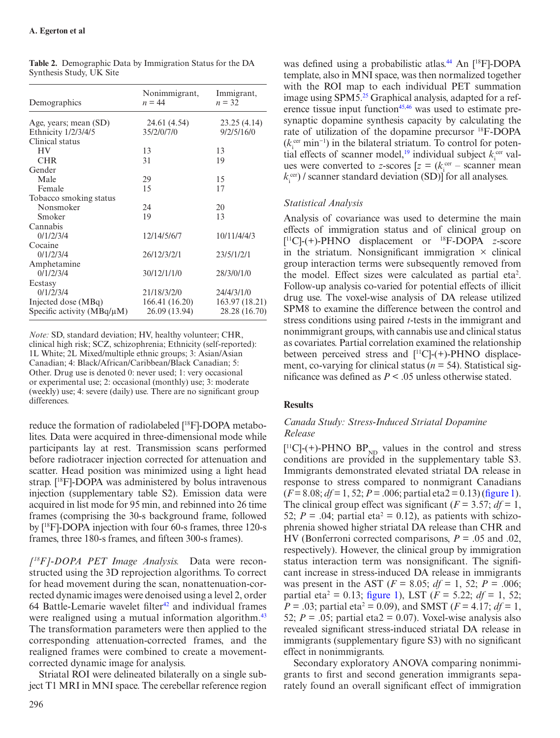| Demographics                    | Nonimmigrant,<br>$n = 44$ | Immigrant,<br>$n = 32$ |
|---------------------------------|---------------------------|------------------------|
| Age, years; mean (SD)           | 24.61 (4.54)              | 23.25(4.14)            |
| Ethnicity 1/2/3/4/5             | 35/2/0/7/0                | 9/2/5/16/0             |
| Clinical status                 |                           |                        |
| <b>HV</b>                       | 13                        | 13                     |
| <b>CHR</b>                      | 31                        | 19                     |
| Gender                          |                           |                        |
| Male                            | 29                        | 15                     |
| Female                          | 15                        | 17                     |
| Tobacco smoking status          |                           |                        |
| Nonsmoker                       | 24                        | 20                     |
| Smoker                          | 19                        | 13                     |
| Cannabis                        |                           |                        |
| 0/1/2/3/4                       | 12/14/5/6/7               | 10/11/4/4/3            |
| Cocaine                         |                           |                        |
| 0/1/2/3/4                       | 26/12/3/2/1               | 23/5/1/2/1             |
| Amphetamine                     |                           |                        |
| 0/1/2/3/4                       | 30/12/1/1/0               | 28/3/0/1/0             |
| Ecstasy                         |                           |                        |
| 0/1/2/3/4                       | 21/18/3/2/0               | 24/4/3/1/0             |
| Injected dose (MBq)             | 166.41 (16.20)            | 163.97 (18.21)         |
| Specific activity $(MBq/\mu M)$ | 26.09 (13.94)             | 28.28 (16.70)          |

<span id="page-3-0"></span>

| <b>Table 2.</b> Demographic Data by Immigration Status for the DA |  |
|-------------------------------------------------------------------|--|
| Synthesis Study, UK Site                                          |  |

*Note:* SD, standard deviation; HV, healthy volunteer; CHR, clinical high risk; SCZ, schizophrenia; Ethnicity (self-reported): 1L White; 2L Mixed/multiple ethnic groups; 3: Asian/Asian Canadian; 4: Black/African/Caribbean/Black Canadian; 5: Other. Drug use is denoted 0: never used; 1: very occasional or experimental use; 2: occasional (monthly) use; 3: moderate (weekly) use; 4: severe (daily) use. There are no significant group differences.

reduce the formation of radiolabeled [18F]-DOPA metabolites. Data were acquired in three-dimensional mode while participants lay at rest. Transmission scans performed before radiotracer injection corrected for attenuation and scatter. Head position was minimized using a light head strap. [18F]-DOPA was administered by bolus intravenous injection (supplementary table S2). Emission data were acquired in list mode for 95 min, and rebinned into 26 time frames (comprising the 30-s background frame, followed by [18F]-DOPA injection with four 60-s frames, three 120-s frames, three 180-s frames, and fifteen 300-s frames).

*[18F]-DOPA PET Image Analysis.* Data were reconstructed using the 3D reprojection algorithms. To correct for head movement during the scan, nonattenuation-corrected dynamic images were denoised using a level 2, order 64 Battle-Lemarie wavelet filter $42$  and individual frames were realigned using a mutual information algorithm.<sup>[43](#page-8-12)</sup> The transformation parameters were then applied to the corresponding attenuation-corrected frames, and the realigned frames were combined to create a movementcorrected dynamic image for analysis.

Striatal ROI were delineated bilaterally on a single subject T1 MRI in MNI space. The cerebellar reference region

296

was defined using a probabilistic atlas.<sup>44</sup> An [<sup>18</sup>F]-DOPA template, also in MNI space, was then normalized together with the ROI map to each individual PET summation image using SPM5.<sup>25</sup> Graphical analysis, adapted for a reference tissue input function<sup>45,46</sup> was used to estimate presynaptic dopamine synthesis capacity by calculating the rate of utilization of the dopamine precursor 18F-DOPA ( $k<sub>i</sub><sup>cer</sup> min<sup>-1</sup>$ ) in the bilateral striatum. To control for potential effects of scanner model,<sup>19</sup> individual subject  $k_i^{\text{cer}}$  values were converted to *z*-scores  $[z = (k_i^{\text{cer}} - \text{ scanner mean})]$  $k_i^{\text{cer}}$  / scanner standard deviation (SD)] for all analyses.

# *Statistical Analysis*

Analysis of covariance was used to determine the main effects of immigration status and of clinical group on [ 11C]-(+)-PHNO displacement or 18F-DOPA *z*-score in the striatum. Nonsignificant immigration  $\times$  clinical group interaction terms were subsequently removed from the model. Effect sizes were calculated as partial eta<sup>2</sup>. Follow-up analysis co-varied for potential effects of illicit drug use. The voxel-wise analysis of DA release utilized SPM8 to examine the difference between the control and stress conditions using paired *t*-tests in the immigrant and nonimmigrant groups, with cannabis use and clinical status as covariates. Partial correlation examined the relationship between perceived stress and  $[{}^{11}C]$ -(+)-PHNO displacement, co-varying for clinical status ( $n = 54$ ). Statistical significance was defined as *P* < .05 unless otherwise stated.

# **Results**

# *Canada Study: Stress-Induced Striatal Dopamine Release*

 $[$ <sup>11</sup>C]-(+)-PHNO BP<sub>ND</sub> values in the control and stress conditions are provided in the supplementary table S3. Immigrants demonstrated elevated striatal DA release in response to stress compared to nonmigrant Canadians  $(F = 8.08; df = 1, 52; P = .006; partial eta 2 = 0.13)$  ([figure 1\)](#page-4-0). The clinical group effect was significant ( $F = 3.57$ ;  $df = 1$ , 52;  $P = .04$ ; partial eta<sup>2</sup> = 0.12), as patients with schizophrenia showed higher striatal DA release than CHR and HV (Bonferroni corrected comparisons, *P* = .05 and .02, respectively). However, the clinical group by immigration status interaction term was nonsignificant. The significant increase in stress-induced DA release in immigrants was present in the AST ( $F = 8.05$ ;  $df = 1$ , 52;  $P = .006$ ; partial eta<sup>2</sup> = 0.13; [figure 1\)](#page-4-0), LST ( $F = 5.22$ ;  $df = 1$ , 52;  $P = .03$ ; partial eta<sup>2</sup> = 0.09), and SMST ( $F = 4.17$ ;  $df = 1$ , 52;  $P = 0.05$ ; partial eta2 = 0.07). Voxel-wise analysis also revealed significant stress-induced striatal DA release in immigrants (supplementary figure S3) with no significant effect in nonimmigrants.

Secondary exploratory ANOVA comparing nonimmigrants to first and second generation immigrants separately found an overall significant effect of immigration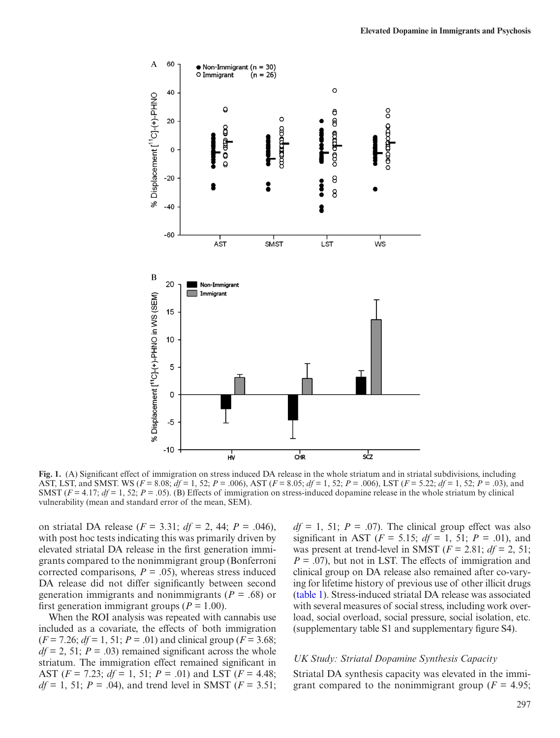

**Fig. 1.** (A) Significant effect of immigration on stress induced DA release in the whole striatum and in striatal subdivisions, including AST, LST, and SMST. WS (*F* = 8.08; *df* = 1, 52; *P* = .006), AST (*F* = 8.05; *df* = 1, 52; *P* = .006), LST (*F* = 5.22; *df* = 1, 52; *P* = .03), and SMST  $(F = 4.17; df = 1, 52; P = .05)$ . (B) Effects of immigration on stress-induced dopamine release in the whole striatum by clinical vulnerability (mean and standard error of the mean, SEM).

on striatal DA release (*F* = 3.31; *df* = 2, 44; *P* = .046), with post hoc tests indicating this was primarily driven by elevated striatal DA release in the first generation immigrants compared to the nonimmigrant group (Bonferroni corrected comparisons,  $P = .05$ ), whereas stress induced DA release did not differ significantly between second generation immigrants and nonimmigrants (*P* = .68) or first generation immigrant groups (*P =* 1.00).

When the ROI analysis was repeated with cannabis use included as a covariate, the effects of both immigration  $(F = 7.26; df = 1, 51; P = .01)$  and clinical group  $(F = 3.68;$  $df = 2$ , 51;  $P = .03$ ) remained significant across the whole striatum. The immigration effect remained significant in AST (*F* = 7.23; *df* = 1, 51; *P* = .01) and LST (*F* = 4.48;  $df = 1$ , 51;  $P = .04$ ), and trend level in SMST ( $F = 3.51$ ; <span id="page-4-0"></span> $df = 1$ , 51;  $P = .07$ ). The clinical group effect was also significant in AST ( $F = 5.15$ ;  $df = 1$ ,  $51$ ;  $P = .01$ ), and was present at trend-level in SMST ( $F = 2.81$ ;  $df = 2$ , 51; *P* = .07), but not in LST. The effects of immigration and clinical group on DA release also remained after co-varying for lifetime history of previous use of other illicit drugs [\(table 1\)](#page-2-0). Stress-induced striatal DA release was associated with several measures of social stress, including work overload, social overload, social pressure, social isolation, etc. (supplementary table S1 and supplementary figure S4).

#### *UK Study: Striatal Dopamine Synthesis Capacity*

Striatal DA synthesis capacity was elevated in the immigrant compared to the nonimmigrant group ( $F = 4.95$ ;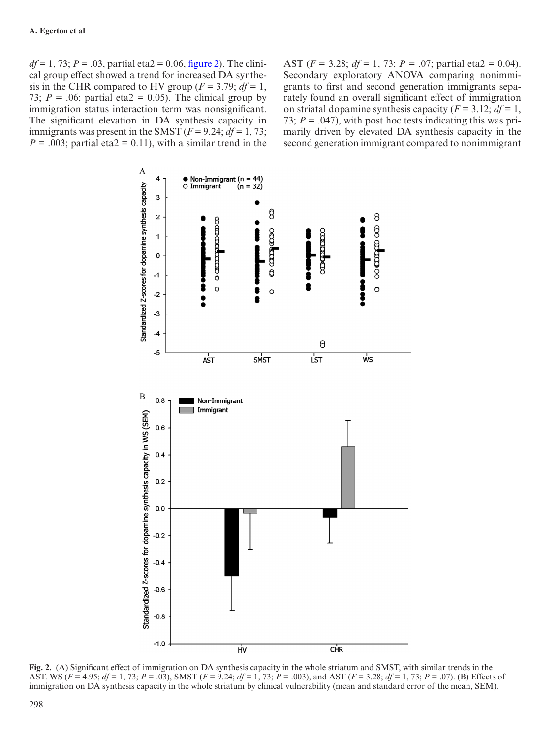$df = 1, 73$ ;  $P = .03$ , partial eta2 = 0.06, [figure 2](#page-5-0)). The clinical group effect showed a trend for increased DA synthesis in the CHR compared to HV group ( $F = 3.79$ ;  $df = 1$ , 73;  $P = .06$ ; partial eta2 = 0.05). The clinical group by immigration status interaction term was nonsignificant. The significant elevation in DA synthesis capacity in immigrants was present in the SMST  $(F = 9.24; df = 1, 73;$  $P = 0.003$ ; partial eta2 = 0.11), with a similar trend in the AST (*F* = 3.28; *df* = 1, 73; *P* = .07; partial eta2 = 0.04). Secondary exploratory ANOVA comparing nonimmigrants to first and second generation immigrants separately found an overall significant effect of immigration on striatal dopamine synthesis capacity ( $F = 3.12$ ;  $df = 1$ , 73;  $P = .047$ , with post hoc tests indicating this was primarily driven by elevated DA synthesis capacity in the second generation immigrant compared to nonimmigrant



<span id="page-5-0"></span>**Fig. 2.** (A) Significant effect of immigration on DA synthesis capacity in the whole striatum and SMST, with similar trends in the AST. WS (*F* = 4.95; *df* = 1, 73; *P* = .03), SMST (*F* = 9.24; *df* = 1, 73; *P* = .003), and AST (*F* = 3.28; *df* = 1, 73; *P* = .07). (B) Effects of immigration on DA synthesis capacity in the whole striatum by clinical vulnerability (mean and standard error of the mean, SEM).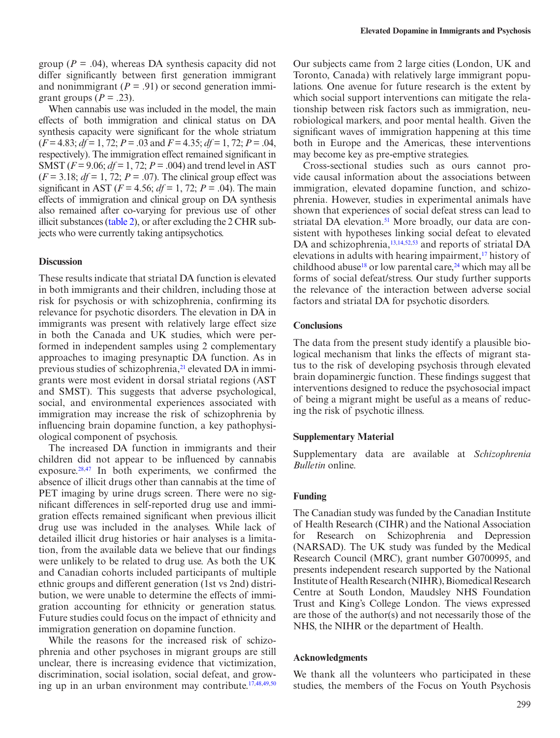group ( $P = .04$ ), whereas DA synthesis capacity did not differ significantly between first generation immigrant and nonimmigrant  $(P = .91)$  or second generation immigrant groups  $(P = .23)$ .

When cannabis use was included in the model, the main effects of both immigration and clinical status on DA synthesis capacity were significant for the whole striatum (*F* = 4.83; *df* = 1, 72; *P* = .03 and *F* = 4.35; *df* = 1, 72; *P* = .04, respectively). The immigration effect remained significant in SMST (*F* = 9.06; *df* = 1, 72; *P* = .004) and trend level in AST  $(F = 3.18; df = 1, 72; P = .07)$ . The clinical group effect was significant in AST ( $F = 4.56$ ;  $df = 1$ , 72;  $P = .04$ ). The main effects of immigration and clinical group on DA synthesis also remained after co-varying for previous use of other illicit substances ([table 2](#page-3-0)), or after excluding the 2 CHR subjects who were currently taking antipsychotics.

### **Discussion**

These results indicate that striatal DA function is elevated in both immigrants and their children, including those at risk for psychosis or with schizophrenia, confirming its relevance for psychotic disorders. The elevation in DA in immigrants was present with relatively large effect size in both the Canada and UK studies, which were performed in independent samples using 2 complementary approaches to imaging presynaptic DA function. As in previous studies of schizophrenia,<sup>[21](#page-7-27)</sup> elevated DA in immigrants were most evident in dorsal striatal regions (AST and SMST). This suggests that adverse psychological, social, and environmental experiences associated with immigration may increase the risk of schizophrenia by influencing brain dopamine function, a key pathophysiological component of psychosis.

The increased DA function in immigrants and their children did not appear to be influenced by cannabis exposure. $28,47$  $28,47$  In both experiments, we confirmed the absence of illicit drugs other than cannabis at the time of PET imaging by urine drugs screen. There were no significant differences in self-reported drug use and immigration effects remained significant when previous illicit drug use was included in the analyses. While lack of detailed illicit drug histories or hair analyses is a limitation, from the available data we believe that our findings were unlikely to be related to drug use. As both the UK and Canadian cohorts included participants of multiple ethnic groups and different generation (1st vs 2nd) distribution, we were unable to determine the effects of immigration accounting for ethnicity or generation status. Future studies could focus on the impact of ethnicity and immigration generation on dopamine function.

While the reasons for the increased risk of schizophrenia and other psychoses in migrant groups are still unclear, there is increasing evidence that victimization, discrimination, social isolation, social defeat, and grow-ing up in an urban environment may contribute.<sup>[17,](#page-7-15)[48](#page-8-17)[,49](#page-8-18),[50](#page-8-19)</sup>

Our subjects came from 2 large cities (London, UK and Toronto, Canada) with relatively large immigrant populations. One avenue for future research is the extent by which social support interventions can mitigate the relationship between risk factors such as immigration, neurobiological markers, and poor mental health. Given the significant waves of immigration happening at this time both in Europe and the Americas, these interventions may become key as pre-emptive strategies.

Cross-sectional studies such as ours cannot provide causal information about the associations between immigration, elevated dopamine function, and schizophrenia. However, studies in experimental animals have shown that experiences of social defeat stress can lead to striatal DA elevation.<sup>51</sup> More broadly, our data are consistent with hypotheses linking social defeat to elevated DA and schizophrenia,<sup>[13](#page-7-12),[14,](#page-7-13)[52,](#page-8-21)[53](#page-8-22)</sup> and reports of striatal DA elevations in adults with hearing impairment,<sup>17</sup> history of childhood abuse<sup>18</sup> or low parental care,  $24$  which may all be forms of social defeat/stress. Our study further supports the relevance of the interaction between adverse social factors and striatal DA for psychotic disorders.

## **Conclusions**

The data from the present study identify a plausible biological mechanism that links the effects of migrant status to the risk of developing psychosis through elevated brain dopaminergic function. These findings suggest that interventions designed to reduce the psychosocial impact of being a migrant might be useful as a means of reducing the risk of psychotic illness.

#### **Supplementary Material**

Supplementary data are available at *Schizophrenia Bulletin* online.

#### **Funding**

The Canadian study was funded by the Canadian Institute of Health Research (CIHR) and the National Association for Research on Schizophrenia and Depression (NARSAD). The UK study was funded by the Medical Research Council (MRC), grant number G0700995, and presents independent research supported by the National Institute of Health Research (NIHR), Biomedical Research Centre at South London, Maudsley NHS Foundation Trust and King's College London. The views expressed are those of the author(s) and not necessarily those of the NHS, the NIHR or the department of Health.

## **Acknowledgments**

We thank all the volunteers who participated in these studies, the members of the Focus on Youth Psychosis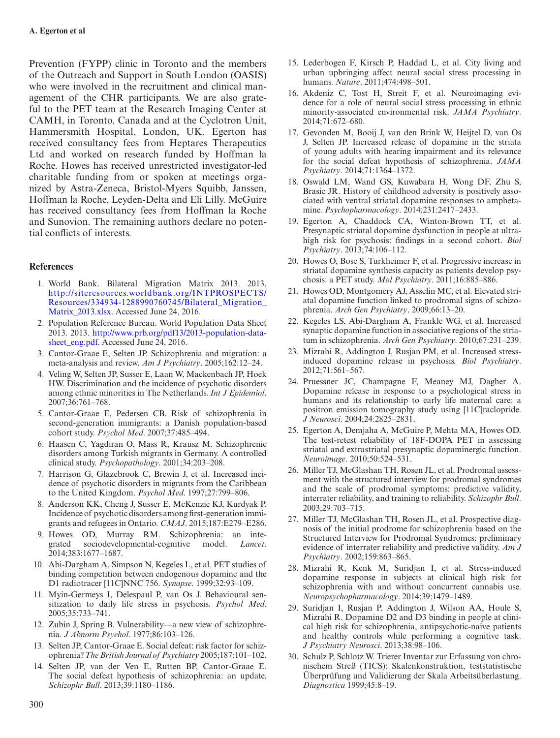Prevention (FYPP) clinic in Toronto and the members of the Outreach and Support in South London (OASIS) who were involved in the recruitment and clinical management of the CHR participants. We are also grateful to the PET team at the Research Imaging Center at CAMH, in Toronto, Canada and at the Cyclotron Unit, Hammersmith Hospital, London, UK. Egerton has received consultancy fees from Heptares Therapeutics Ltd and worked on research funded by Hoffman la Roche. Howes has received unrestricted investigator-led charitable funding from or spoken at meetings organized by Astra-Zeneca, Bristol-Myers Squibb, Janssen, Hoffman la Roche, Leyden-Delta and Eli Lilly. McGuire has received consultancy fees from Hoffman la Roche and Sunovion. The remaining authors declare no potential conflicts of interests.

# **References**

- <span id="page-7-0"></span>1. World Bank. Bilateral Migration Matrix 2013. 2013. [http://siteresources.worldbank.org/INTPROSPECTS/](http://siteresources.worldbank.org/INTPROSPECTS/Resources/334934-1288990760745/Bilateral_Migration_Matrix_2013.xlsx) [Resources/334934-1288990760745/Bilateral\\_Migration\\_](http://siteresources.worldbank.org/INTPROSPECTS/Resources/334934-1288990760745/Bilateral_Migration_Matrix_2013.xlsx) [Matrix\\_2013.xlsx.](http://siteresources.worldbank.org/INTPROSPECTS/Resources/334934-1288990760745/Bilateral_Migration_Matrix_2013.xlsx) Accessed June 24, 2016.
- <span id="page-7-1"></span>2. Population Reference Bureau. World Population Data Sheet 2013. 2013. [http://www.prb.org/pdf13/2013-population-data](http://www.prb.org/pdf13/2013-population-data-sheet_eng.pdf)[sheet\\_eng.pdf](http://www.prb.org/pdf13/2013-population-data-sheet_eng.pdf). Accessed June 24, 2016.
- <span id="page-7-2"></span>3. Cantor-Graae E, Selten JP. Schizophrenia and migration: a meta-analysis and review. *Am J Psychiatry*. 2005;162:12–24.
- <span id="page-7-3"></span>4. Veling W, Selten JP, Susser E, Laan W, Mackenbach JP, Hoek HW. Discrimination and the incidence of psychotic disorders among ethnic minorities in The Netherlands. *Int J Epidemiol*. 2007;36:761–768.
- <span id="page-7-4"></span>5. Cantor-Graae E, Pedersen CB. Risk of schizophrenia in second-generation immigrants: a Danish population-based cohort study. *Psychol Med*. 2007;37:485–494.
- <span id="page-7-5"></span>6. Haasen C, Yagdiran O, Mass R, Krausz M. Schizophrenic disorders among Turkish migrants in Germany. A controlled clinical study. *Psychopathology*. 2001;34:203–208.
- <span id="page-7-6"></span>7. Harrison G, Glazebrook C, Brewin J, et al. Increased incidence of psychotic disorders in migrants from the Caribbean to the United Kingdom. *Psychol Med*. 1997;27:799–806.
- <span id="page-7-7"></span>8. Anderson KK, Cheng J, Susser E, McKenzie KJ, Kurdyak P. Incidence of psychotic disorders among first-generation immigrants and refugees in Ontario. *CMAJ*. 2015;187:E279–E286.
- <span id="page-7-8"></span>9. Howes OD, Murray RM. Schizophrenia: an integrated sociodevelopmental-cognitive model. *Lancet*. 2014;383:1677–1687.
- <span id="page-7-9"></span>10. Abi-Dargham A, Simpson N, Kegeles L, et al. PET studies of binding competition between endogenous dopamine and the D1 radiotracer [11C]NNC 756. *Synapse*. 1999;32:93–109.
- <span id="page-7-10"></span>11. Myin-Germeys I, Delespaul P, van Os J. Behavioural sensitization to daily life stress in psychosis. *Psychol Med*. 2005;35:733–741.
- <span id="page-7-11"></span>12. Zubin J, Spring B. Vulnerability—a new view of schizophrenia. *J Abnorm Psychol*. 1977;86:103–126.
- <span id="page-7-12"></span>13. Selten JP, Cantor-Graae E. Social defeat: risk factor for schizophrenia? *The British Journal of Psychiatry* 2005;187:101–102.
- <span id="page-7-13"></span>14. Selten JP, van der Ven E, Rutten BP, Cantor-Graae E. The social defeat hypothesis of schizophrenia: an update. *Schizophr Bull*. 2013;39:1180–1186.
- <span id="page-7-14"></span>15. Lederbogen F, Kirsch P, Haddad L, et al. City living and urban upbringing affect neural social stress processing in humans. *Nature*. 2011;474:498–501.
- <span id="page-7-17"></span>16. Akdeniz C, Tost H, Streit F, et al. Neuroimaging evidence for a role of neural social stress processing in ethnic minority-associated environmental risk. *JAMA Psychiatry*. 2014;71:672–680.
- <span id="page-7-15"></span>17. Gevonden M, Booij J, van den Brink W, Heijtel D, van Os J, Selten JP. Increased release of dopamine in the striata of young adults with hearing impairment and its relevance for the social defeat hypothesis of schizophrenia. *JAMA Psychiatry*. 2014;71:1364–1372.
- <span id="page-7-16"></span>18. Oswald LM, Wand GS, Kuwabara H, Wong DF, Zhu S, Brasic JR. History of childhood adversity is positively associated with ventral striatal dopamine responses to amphetamine. *Psychopharmacology*. 2014;231:2417–2433.
- <span id="page-7-18"></span>19. Egerton A, Chaddock CA, Winton-Brown TT, et al. Presynaptic striatal dopamine dysfunction in people at ultrahigh risk for psychosis: findings in a second cohort. *Biol Psychiatry*. 2013;74:106–112.
- 20. Howes O, Bose S, Turkheimer F, et al. Progressive increase in striatal dopamine synthesis capacity as patients develop psychosis: a PET study. *Mol Psychiatry*. 2011;16:885–886.
- <span id="page-7-27"></span>21. Howes OD, Montgomery AJ, Asselin MC, et al. Elevated striatal dopamine function linked to prodromal signs of schizophrenia. *Arch Gen Psychiatry*. 2009;66:13–20.
- 22. Kegeles LS, Abi-Dargham A, Frankle WG, et al. Increased synaptic dopamine function in associative regions of the striatum in schizophrenia. *Arch Gen Psychiatry*. 2010;67:231–239.
- <span id="page-7-23"></span>23. Mizrahi R, Addington J, Rusjan PM, et al. Increased stressinduced dopamine release in psychosis. *Biol Psychiatry*. 2012;71:561–567.
- <span id="page-7-19"></span>24. Pruessner JC, Champagne F, Meaney MJ, Dagher A. Dopamine release in response to a psychological stress in humans and its relationship to early life maternal care: a positron emission tomography study using [11C]raclopride. *J Neurosci*. 2004;24:2825–2831.
- <span id="page-7-20"></span>25. Egerton A, Demjaha A, McGuire P, Mehta MA, Howes OD. The test-retest reliability of 18F-DOPA PET in assessing striatal and extrastriatal presynaptic dopaminergic function. *Neuroimage*. 2010;50:524–531.
- <span id="page-7-21"></span>26. Miller TJ, McGlashan TH, Rosen JL, et al. Prodromal assessment with the structured interview for prodromal syndromes and the scale of prodromal symptoms: predictive validity, interrater reliability, and training to reliability. *Schizophr Bull*. 2003;29:703–715.
- <span id="page-7-22"></span>27. Miller TJ, McGlashan TH, Rosen JL, et al. Prospective diagnosis of the initial prodrome for schizophrenia based on the Structured Interview for Prodromal Syndromes: preliminary evidence of interrater reliability and predictive validity. *Am J Psychiatry*. 2002;159:863–865.
- <span id="page-7-24"></span>28. Mizrahi R, Kenk M, Suridjan I, et al. Stress-induced dopamine response in subjects at clinical high risk for schizophrenia with and without concurrent cannabis use. *Neuropsychopharmacology*. 2014;39:1479–1489.
- <span id="page-7-25"></span>29. Suridjan I, Rusjan P, Addington J, Wilson AA, Houle S, Mizrahi R. Dopamine D2 and D3 binding in people at clinical high risk for schizophrenia, antipsychotic-naive patients and healthy controls while performing a cognitive task. *J Psychiatry Neurosci*. 2013;38:98–106.
- <span id="page-7-26"></span>30. Schulz P, Schlotz W. Trierer Inventar zur Erfassung von chronischem Streß (TICS): Skalenkonstruktion, teststatistische Überprüfung und Validierung der Skala Arbeitsüberlastung. *Diagnostica* 1999;45:8–19.